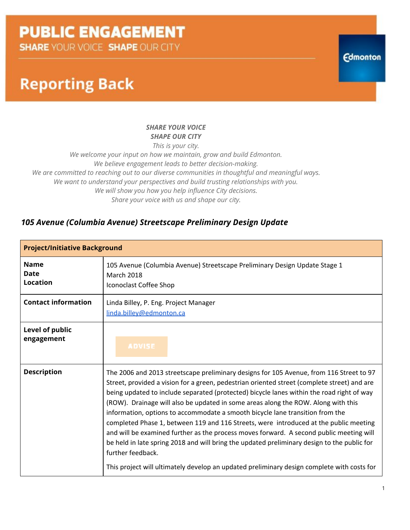**SHARE YOUR VOICE SHAPE OUR CITY** 

### **Reporting Back**

#### *SHARE YOUR VOICE SHAPE OUR CITY*

*This is your city.*

*We welcome your input on how we maintain, grow and build Edmonton. We believe engagement leads to better decision-making. We are committed to reaching out to our diverse communities in thoughtful and meaningful ways. We want to understand your perspectives and build trusting relationships with you. We will show you how you help influence City decisions. Share your voice with us and shape our city.*

### *105 Avenue (Columbia Avenue) Streetscape Preliminary Design Update*

| <b>Project/Initiative Background</b>          |                                                                                                                                                                                                                                                                                                                                                                                                                                                                                                                                                                                                                                                                                                                                                                                                                                                                 |  |  |  |
|-----------------------------------------------|-----------------------------------------------------------------------------------------------------------------------------------------------------------------------------------------------------------------------------------------------------------------------------------------------------------------------------------------------------------------------------------------------------------------------------------------------------------------------------------------------------------------------------------------------------------------------------------------------------------------------------------------------------------------------------------------------------------------------------------------------------------------------------------------------------------------------------------------------------------------|--|--|--|
| <b>Name</b><br><b>Date</b><br><b>Location</b> | 105 Avenue (Columbia Avenue) Streetscape Preliminary Design Update Stage 1<br><b>March 2018</b><br>Iconoclast Coffee Shop                                                                                                                                                                                                                                                                                                                                                                                                                                                                                                                                                                                                                                                                                                                                       |  |  |  |
| <b>Contact information</b>                    | Linda Billey, P. Eng. Project Manager<br>linda.billey@edmonton.ca                                                                                                                                                                                                                                                                                                                                                                                                                                                                                                                                                                                                                                                                                                                                                                                               |  |  |  |
| Level of public<br>engagement                 | <b>ADVISE</b>                                                                                                                                                                                                                                                                                                                                                                                                                                                                                                                                                                                                                                                                                                                                                                                                                                                   |  |  |  |
| <b>Description</b>                            | The 2006 and 2013 streetscape preliminary designs for 105 Avenue, from 116 Street to 97<br>Street, provided a vision for a green, pedestrian oriented street (complete street) and are<br>being updated to include separated (protected) bicycle lanes within the road right of way<br>(ROW). Drainage will also be updated in some areas along the ROW. Along with this<br>information, options to accommodate a smooth bicycle lane transition from the<br>completed Phase 1, between 119 and 116 Streets, were introduced at the public meeting<br>and will be examined further as the process moves forward. A second public meeting will<br>be held in late spring 2018 and will bring the updated preliminary design to the public for<br>further feedback.<br>This project will ultimately develop an updated preliminary design complete with costs for |  |  |  |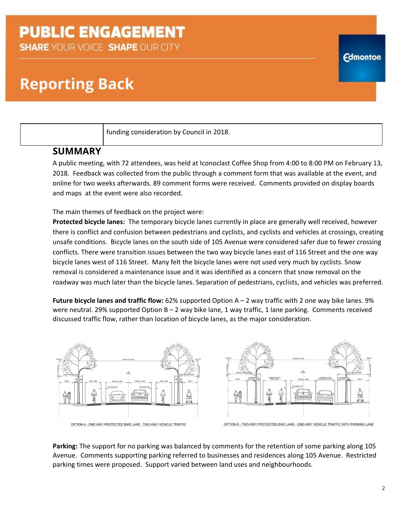**SHARE YOUR VOICE SHAPE OUR CITY** 

## **Reporting Back**

funding consideration by Council in 2018.

### **SUMMARY**

A public meeting, with 72 attendees, was held at Iconoclast Coffee Shop from 4:00 to 8:00 PM on February 13, 2018. Feedback was collected from the public through a comment form that was available at the event, and online for two weeks afterwards. 89 comment forms were received. Comments provided on display boards and maps at the event were also recorded.

The main themes of feedback on the project were:

**Protected bicycle lanes:** The temporary bicycle lanes currently in place are generally well received, however there is conflict and confusion between pedestrians and cyclists, and cyclists and vehicles at crossings, creating unsafe conditions. Bicycle lanes on the south side of 105 Avenue were considered safer due to fewer crossing conflicts. There were transition issues between the two way bicycle lanes east of 116 Street and the one way bicycle lanes west of 116 Street. Many felt the bicycle lanes were not used very much by cyclists. Snow removal is considered a maintenance issue and it was identified as a concern that snow removal on the roadway was much later than the bicycle lanes. Separation of pedestrians, cyclists, and vehicles was preferred.

**Future bicycle lanes and traffic flow:** 62% supported Option A – 2 way traffic with 2 one way bike lanes. 9% were neutral. 29% supported Option B – 2 way bike lane, 1 way traffic, 1 lane parking. Comments received discussed traffic flow, rather than location of bicycle lanes, as the major consideration.



**Parking:** The support for no parking was balanced by comments for the retention of some parking along 105 Avenue. Comments supporting parking referred to businesses and residences along 105 Avenue. Restricted parking times were proposed. Support varied between land uses and neighbourhoods.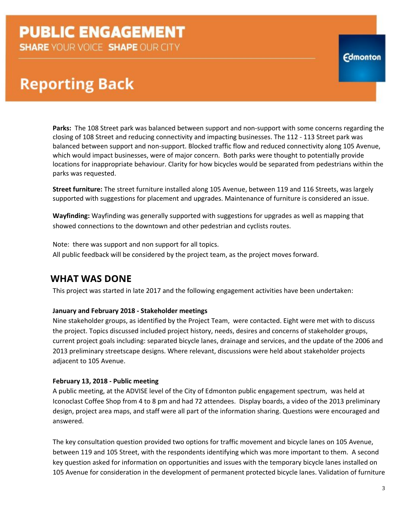**SHARE YOUR VOICE SHAPE OUR CITY** 

### **Reporting Back**

**Parks:** The 108 Street park was balanced between support and non-support with some concerns regarding the closing of 108 Street and reducing connectivity and impacting businesses. The 112 - 113 Street park was balanced between support and non-support. Blocked traffic flow and reduced connectivity along 105 Avenue, which would impact businesses, were of major concern. Both parks were thought to potentially provide locations for inappropriate behaviour. Clarity for how bicycles would be separated from pedestrians within the parks was requested.

**Street furniture:** The street furniture installed along 105 Avenue, between 119 and 116 Streets, was largely supported with suggestions for placement and upgrades. Maintenance of furniture is considered an issue.

**Wayfinding:** Wayfinding was generally supported with suggestions for upgrades as well as mapping that showed connections to the downtown and other pedestrian and cyclists routes.

Note: there was support and non support for all topics. All public feedback will be considered by the project team, as the project moves forward.

### **WHAT WAS DONE**

This project was started in late 2017 and the following engagement activities have been undertaken:

#### **January and February 2018 - Stakeholder meetings**

Nine stakeholder groups, as identified by the Project Team, were contacted. Eight were met with to discuss the project. Topics discussed included project history, needs, desires and concerns of stakeholder groups, current project goals including: separated bicycle lanes, drainage and services, and the update of the 2006 and 2013 preliminary streetscape designs. Where relevant, discussions were held about stakeholder projects adjacent to 105 Avenue.

#### **February 13, 2018 - Public meeting**

A public meeting, at the ADVISE level of the City of Edmonton public engagement spectrum, was held at Iconoclast Coffee Shop from 4 to 8 pm and had 72 attendees. Display boards, a video of the 2013 preliminary design, project area maps, and staff were all part of the information sharing. Questions were encouraged and answered.

The key consultation question provided two options for traffic movement and bicycle lanes on 105 Avenue, between 119 and 105 Street, with the respondents identifying which was more important to them. A second key question asked for information on opportunities and issues with the temporary bicycle lanes installed on 105 Avenue for consideration in the development of permanent protected bicycle lanes. Validation of furniture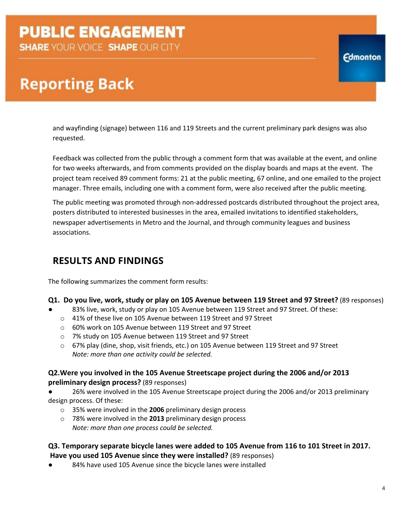### **Reporting Back**

and wayfinding (signage) between 116 and 119 Streets and the current preliminary park designs was also requested.

Feedback was collected from the public through a comment form that was available at the event, and online for two weeks afterwards, and from comments provided on the display boards and maps at the event. The project team received 89 comment forms: 21 at the public meeting, 67 online, and one emailed to the project manager. Three emails, including one with a comment form, were also received after the public meeting.

The public meeting was promoted through non-addressed postcards distributed throughout the project area, posters distributed to interested businesses in the area, emailed invitations to identified stakeholders, newspaper advertisements in Metro and the Journal, and through community leagues and business associations.

### **RESULTS AND FINDINGS**

The following summarizes the comment form results:

#### **Q1. Do you live, work, study or play on 105 Avenue between 119 Street and 97 Street?** (89 responses)

- 83% live, work, study or play on 105 Avenue between 119 Street and 97 Street. Of these:
	- o 41% of these live on 105 Avenue between 119 Street and 97 Street
	- o 60% work on 105 Avenue between 119 Street and 97 Street
	- o 7% study on 105 Avenue between 119 Street and 97 Street
	- o 67% play (dine, shop, visit friends, etc.) on 105 Avenue between 119 Street and 97 Street *Note: more than one activity could be selected.*

### **Q2.Were you involved in the 105 Avenue Streetscape project during the 2006 and/or 2013 preliminary design process?** (89 responses)

26% were involved in the 105 Avenue Streetscape project during the 2006 and/or 2013 preliminary design process. Of these:

- o 35% were involved in the **2006** preliminary design process
- o 78% were involved in the **2013** preliminary design process *Note: more than one process could be selected.*

#### **Q3. Temporary separate bicycle lanes were added to 105 Avenue from 116 to 101 Street in 2017. Have you used 105 Avenue since they were installed?** (89 responses)

84% have used 105 Avenue since the bicycle lanes were installed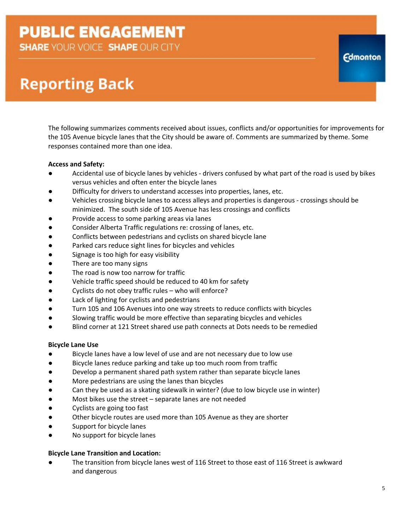**SHARE YOUR VOICE SHAPE OUR CITY** 

### **Reporting Back**

The following summarizes comments received about issues, conflicts and/or opportunities for improvements for the 105 Avenue bicycle lanes that the City should be aware of. Comments are summarized by theme. Some responses contained more than one idea.

#### **Access and Safety:**

- Accidental use of bicycle lanes by vehicles drivers confused by what part of the road is used by bikes versus vehicles and often enter the bicycle lanes
- Difficulty for drivers to understand accesses into properties, lanes, etc.
- Vehicles crossing bicycle lanes to access alleys and properties is dangerous crossings should be minimized. The south side of 105 Avenue has less crossings and conflicts
- Provide access to some parking areas via lanes
- Consider Alberta Traffic regulations re: crossing of lanes, etc.
- Conflicts between pedestrians and cyclists on shared bicycle lane
- Parked cars reduce sight lines for bicycles and vehicles
- Signage is too high for easy visibility
- There are too many signs
- The road is now too narrow for traffic
- Vehicle traffic speed should be reduced to 40 km for safety
- Cyclists do not obey traffic rules who will enforce?
- Lack of lighting for cyclists and pedestrians
- Turn 105 and 106 Avenues into one way streets to reduce conflicts with bicycles
- Slowing traffic would be more effective than separating bicycles and vehicles
- Blind corner at 121 Street shared use path connects at Dots needs to be remedied

#### **Bicycle Lane Use**

- Bicycle lanes have a low level of use and are not necessary due to low use
- Bicycle lanes reduce parking and take up too much room from traffic
- Develop a permanent shared path system rather than separate bicycle lanes
- More pedestrians are using the lanes than bicycles
- Can they be used as a skating sidewalk in winter? (due to low bicycle use in winter)
- Most bikes use the street separate lanes are not needed
- Cyclists are going too fast
- Other bicycle routes are used more than 105 Avenue as they are shorter
- Support for bicycle lanes
- No support for bicycle lanes

#### **Bicycle Lane Transition and Location:**

The transition from bicycle lanes west of 116 Street to those east of 116 Street is awkward and dangerous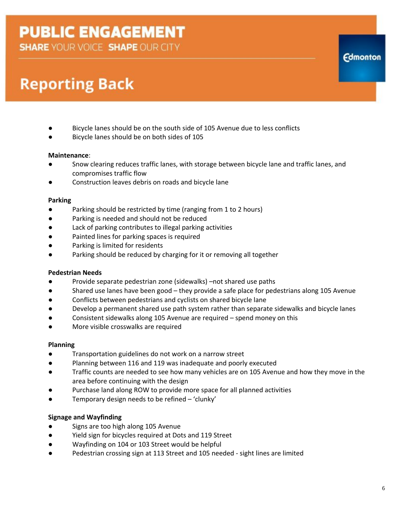**SHARE YOUR VOICE SHAPE OUR CITY** 

## **Reporting Back**

- Bicycle lanes should be on the south side of 105 Avenue due to less conflicts
- Bicycle lanes should be on both sides of 105

#### **Maintenance**:

- Snow clearing reduces traffic lanes, with storage between bicycle lane and traffic lanes, and compromises traffic flow
- Construction leaves debris on roads and bicycle lane

### **Parking**

- Parking should be restricted by time (ranging from 1 to 2 hours)
- Parking is needed and should not be reduced
- Lack of parking contributes to illegal parking activities
- Painted lines for parking spaces is required
- Parking is limited for residents
- Parking should be reduced by charging for it or removing all together

### **Pedestrian Needs**

- Provide separate pedestrian zone (sidewalks) –not shared use paths
- Shared use lanes have been good they provide a safe place for pedestrians along 105 Avenue
- Conflicts between pedestrians and cyclists on shared bicycle lane
- Develop a permanent shared use path system rather than separate sidewalks and bicycle lanes
- Consistent sidewalks along 105 Avenue are required spend money on this
- More visible crosswalks are required

#### **Planning**

- Transportation guidelines do not work on a narrow street
- Planning between 116 and 119 was inadequate and poorly executed
- Traffic counts are needed to see how many vehicles are on 105 Avenue and how they move in the area before continuing with the design
- Purchase land along ROW to provide more space for all planned activities
- Temporary design needs to be refined 'clunky'

### **Signage and Wayfinding**

- Signs are too high along 105 Avenue
- Yield sign for bicycles required at Dots and 119 Street
- Wayfinding on 104 or 103 Street would be helpful
- Pedestrian crossing sign at 113 Street and 105 needed sight lines are limited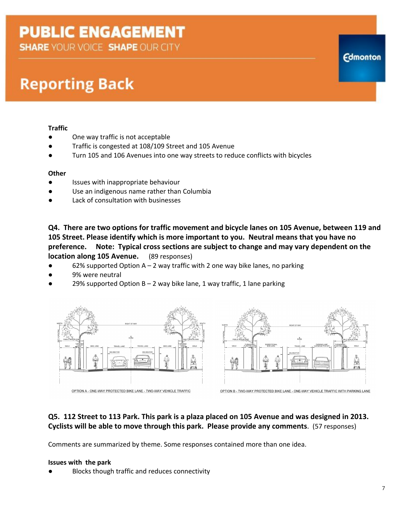**SHARE YOUR VOICE SHAPE OUR CITY** 

### **Reporting Back**

#### **Traffic**

- One way traffic is not acceptable
- Traffic is congested at 108/109 Street and 105 Avenue
- Turn 105 and 106 Avenues into one way streets to reduce conflicts with bicycles

#### **Other**

- Issues with inappropriate behaviour
- Use an indigenous name rather than Columbia
- Lack of consultation with businesses

**Q4. There are two options for traffic movement and bicycle lanes on 105 Avenue, between 119 and 105 Street. Please identify which is more important to you. Neutral means that you have no preference. Note: Typical cross sections are subject to change and may vary dependent on the location along 105 Avenue.** (89 responses)

- 62% supported Option A 2 way traffic with 2 one way bike lanes, no parking
- 9% were neutral
- 29% supported Option B 2 way bike lane, 1 way traffic, 1 lane parking





OPTION B - TWO-WAY PROTECTED BIKE LANE - ONE-WAY VEHICLE TRAFFIC WITH PARKING LANE

#### **Q5. 112 Street to 113 Park. This park is a plaza placed on 105 Avenue and was designed in 2013. Cyclists will be able to move through this park. Please provide any comments**. (57 responses)

Comments are summarized by theme. Some responses contained more than one idea.

#### **Issues with the park**

Blocks though traffic and reduces connectivity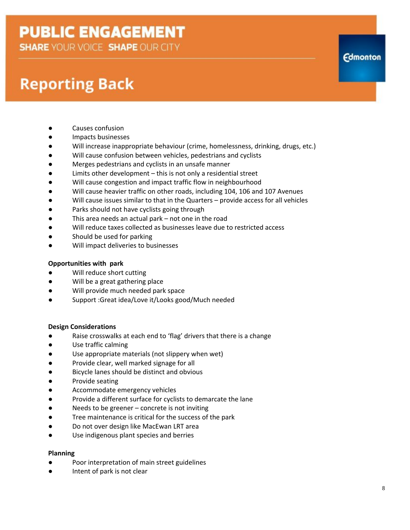**SHARE YOUR VOICE SHAPE OUR CITY** 

### **Reporting Back**

- Causes confusion
- Impacts businesses
- Will increase inappropriate behaviour (crime, homelessness, drinking, drugs, etc.)
- Will cause confusion between vehicles, pedestrians and cyclists
- Merges pedestrians and cyclists in an unsafe manner
- Limits other development this is not only a residential street
- Will cause congestion and impact traffic flow in neighbourhood
- Will cause heavier traffic on other roads, including 104, 106 and 107 Avenues
- Will cause issues similar to that in the Quarters provide access for all vehicles
- Parks should not have cyclists going through
- This area needs an actual park not one in the road
- Will reduce taxes collected as businesses leave due to restricted access
- Should be used for parking
- Will impact deliveries to businesses

#### **Opportunities with park**

- Will reduce short cutting
- Will be a great gathering place
- Will provide much needed park space
- Support :Great idea/Love it/Looks good/Much needed

#### **Design Considerations**

- Raise crosswalks at each end to 'flag' drivers that there is a change
- Use traffic calming
- Use appropriate materials (not slippery when wet)
- Provide clear, well marked signage for all
- Bicycle lanes should be distinct and obvious
- Provide seating
- Accommodate emergency vehicles
- Provide a different surface for cyclists to demarcate the lane
- Needs to be greener concrete is not inviting
- Tree maintenance is critical for the success of the park
- Do not over design like MacEwan LRT area
- Use indigenous plant species and berries

#### **Planning**

- Poor interpretation of main street guidelines
- Intent of park is not clear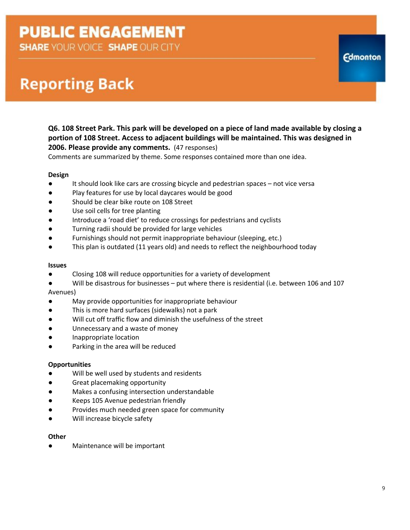**SHARE YOUR VOICE SHAPE OUR CITY** 

### **Reporting Back**

#### **Q6. 108 Street Park. This park will be developed on a piece of land made available by closing a portion of 108 Street. Access to adjacent buildings will be maintained. This was designed in 2006. Please provide any comments.**  (47 responses)

Comments are summarized by theme. Some responses contained more than one idea.

#### **Design**

- It should look like cars are crossing bicycle and pedestrian spaces not vice versa
- Play features for use by local daycares would be good
- Should be clear bike route on 108 Street
- Use soil cells for tree planting
- Introduce a 'road diet' to reduce crossings for pedestrians and cyclists
- Turning radii should be provided for large vehicles
- Furnishings should not permit inappropriate behaviour (sleeping, etc.)
- This plan is outdated (11 years old) and needs to reflect the neighbourhood today

#### **Issues**

- Closing 108 will reduce opportunities for a variety of development
- Will be disastrous for businesses put where there is residential (i.e. between 106 and 107 Avenues)
- May provide opportunities for inappropriate behaviour
- This is more hard surfaces (sidewalks) not a park
- Will cut off traffic flow and diminish the usefulness of the street
- Unnecessary and a waste of money
- Inappropriate location
- Parking in the area will be reduced

#### **Opportunities**

- Will be well used by students and residents
- Great placemaking opportunity
- Makes a confusing intersection understandable
- Keeps 105 Avenue pedestrian friendly
- Provides much needed green space for community
- Will increase bicycle safety

#### **Other**

Maintenance will be important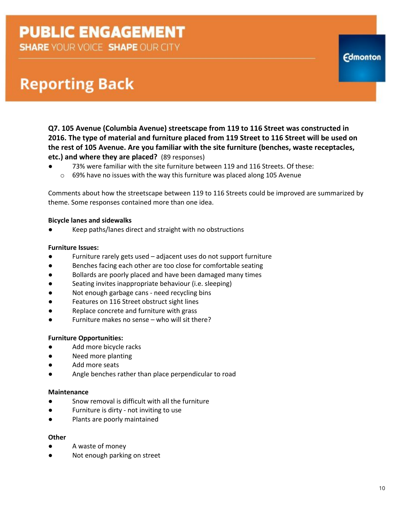**SHARE YOUR VOICE SHAPE OUR CITY** 

## **Reporting Back**

**Q7. 105 Avenue (Columbia Avenue) streetscape from 119 to 116 Street was constructed in 2016. The type of material and furniture placed from 119 Street to 116 Street will be used on the rest of 105 Avenue. Are you familiar with the site furniture (benches, waste receptacles, etc.) and where they are placed?** (89 responses)<br>● 23% were familiar with the site furniture het

73% were familiar with the site furniture between 119 and 116 Streets. Of these: o 69% have no issues with the way this furniture was placed along 105 Avenue

Comments about how the streetscape between 119 to 116 Streets could be improved are summarized by theme. Some responses contained more than one idea.

#### **Bicycle lanes and sidewalks**

Keep paths/lanes direct and straight with no obstructions

#### **Furniture Issues:**

- Furniture rarely gets used  $-$  adjacent uses do not support furniture
- Benches facing each other are too close for comfortable seating
- Bollards are poorly placed and have been damaged many times
- Seating invites inappropriate behaviour (i.e. sleeping)
- Not enough garbage cans need recycling bins
- Features on 116 Street obstruct sight lines
- Replace concrete and furniture with grass
- Furniture makes no sense who will sit there?

#### **Furniture Opportunities:**

- Add more bicycle racks
- Need more planting
- Add more seats
- Angle benches rather than place perpendicular to road

#### **Maintenance**

- Snow removal is difficult with all the furniture
- Furniture is dirty not inviting to use
- Plants are poorly maintained

#### **Other**

- A waste of money
- Not enough parking on street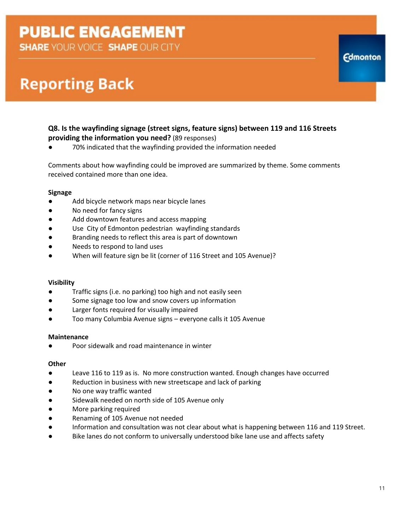**SHARE YOUR VOICE SHAPE OUR CITY** 

### **Reporting Back**

#### **Q8. Is the wayfinding signage (street signs, feature signs) between 119 and 116 Streets providing the information you need?** (89 responses)

70% indicated that the wayfinding provided the information needed

Comments about how wayfinding could be improved are summarized by theme. Some comments received contained more than one idea.

#### **Signage**

- Add bicycle network maps near bicycle lanes
- No need for fancy signs
- Add downtown features and access mapping
- Use City of Edmonton pedestrian wayfinding standards
- Branding needs to reflect this area is part of downtown
- Needs to respond to land uses
- When will feature sign be lit (corner of 116 Street and 105 Avenue)?

#### **Visibility**

- Traffic signs (i.e. no parking) too high and not easily seen
- Some signage too low and snow covers up information
- Larger fonts required for visually impaired
- Too many Columbia Avenue signs everyone calls it 105 Avenue

#### **Maintenance**

Poor sidewalk and road maintenance in winter

#### **Other**

- Leave 116 to 119 as is. No more construction wanted. Enough changes have occurred
- Reduction in business with new streetscape and lack of parking
- No one way traffic wanted
- Sidewalk needed on north side of 105 Avenue only
- More parking required
- Renaming of 105 Avenue not needed
- Information and consultation was not clear about what is happening between 116 and 119 Street.
- Bike lanes do not conform to universally understood bike lane use and affects safety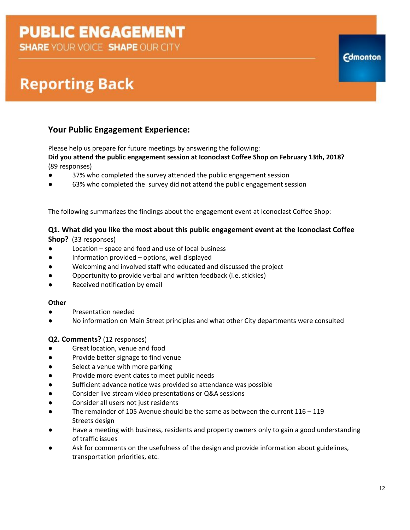**SHARE YOUR VOICE SHAPE OUR CITY** 

### **Reporting Back**

### **Your Public Engagement Experience:**

Please help us prepare for future meetings by answering the following:

**Did you attend the public engagement session at Iconoclast Coffee Shop on February 13th, 2018?** (89 responses)

- 37% who completed the survey attended the public engagement session
- 63% who completed the survey did not attend the public engagement session

The following summarizes the findings about the engagement event at Iconoclast Coffee Shop:

#### **Q1. What did you like the most about this public engagement event at the Iconoclast Coffee**

**Shop?** (33 responses)

- Location space and food and use of local business
- Information provided options, well displayed
- Welcoming and involved staff who educated and discussed the project
- Opportunity to provide verbal and written feedback (i.e. stickies)
- Received notification by email

#### **Other**

- Presentation needed
- No information on Main Street principles and what other City departments were consulted

#### **Q2. Comments?** (12 responses)

- Great location, venue and food
- Provide better signage to find venue
- Select a venue with more parking
- Provide more event dates to meet public needs
- Sufficient advance notice was provided so attendance was possible
- Consider live stream video presentations or Q&A sessions
- Consider all users not just residents
- The remainder of 105 Avenue should be the same as between the current  $116 119$ Streets design
- Have a meeting with business, residents and property owners only to gain a good understanding of traffic issues
- Ask for comments on the usefulness of the design and provide information about guidelines, transportation priorities, etc.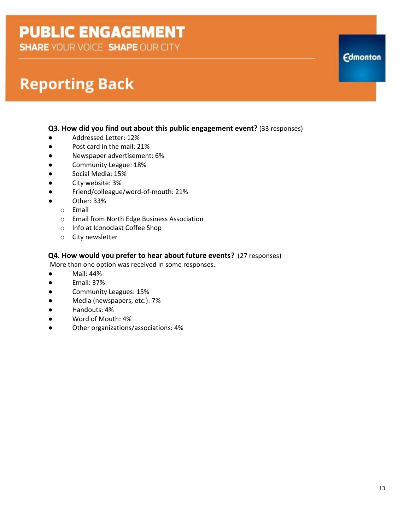**SHARE YOUR VOICE SHAPE OUR CITY** 

### **Reporting Back**

#### **Q3. How did you find out about this public engagement event?** (33 responses)

- Addressed Letter: 12%
- Post card in the mail: 21%
- Newspaper advertisement: 6%
- Community League: 18%
- Social Media: 15%
- City website: 3%
- Friend/colleague/word-of-mouth: 21%
- Other: 33%
	- o Email
	- o Email from North Edge Business Association
	- o Info at Iconoclast Coffee Shop
	- o City newsletter

#### **Q4. How would you prefer to hear about future events?** (27 responses)

More than one option was received in some responses.

- Mail: 44%
- Email: 37%
- Community Leagues: 15%
- Media (newspapers, etc.): 7%
- Handouts: 4%
- Word of Mouth: 4%
- Other organizations/associations: 4%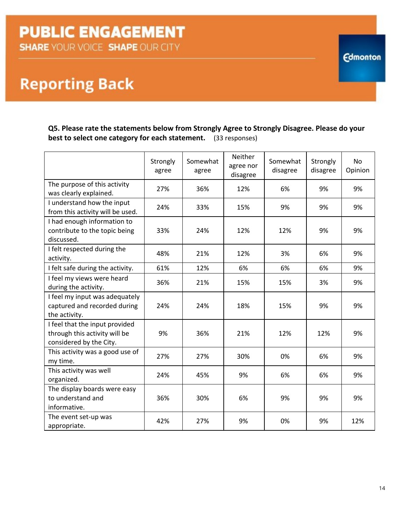**Reporting Back** 

**Q5. Please rate the statements below from Strongly Agree to Strongly Disagree. Please do your best to select one category for each statement.** (33 responses)

|                                                                                            | Strongly<br>agree | Somewhat<br>agree | Neither<br>agree nor<br>disagree | Somewhat<br>disagree | Strongly<br>disagree | <b>No</b><br>Opinion |
|--------------------------------------------------------------------------------------------|-------------------|-------------------|----------------------------------|----------------------|----------------------|----------------------|
| The purpose of this activity<br>was clearly explained.                                     | 27%               | 36%               | 12%                              | 6%                   | 9%                   | 9%                   |
| I understand how the input<br>from this activity will be used.                             | 24%               | 33%               | 15%                              | 9%                   | 9%                   | 9%                   |
| I had enough information to<br>contribute to the topic being<br>discussed.                 | 33%               | 24%               | 12%                              | 12%                  | 9%                   | 9%                   |
| I felt respected during the<br>activity.                                                   | 48%               | 21%               | 12%                              | 3%                   | 6%                   | 9%                   |
| I felt safe during the activity.                                                           | 61%               | 12%               | 6%                               | 6%                   | 6%                   | 9%                   |
| I feel my views were heard<br>during the activity.                                         | 36%               | 21%               | 15%                              | 15%                  | 3%                   | 9%                   |
| I feel my input was adequately<br>captured and recorded during<br>the activity.            | 24%               | 24%               | 18%                              | 15%                  | 9%                   | 9%                   |
| I feel that the input provided<br>through this activity will be<br>considered by the City. | 9%                | 36%               | 21%                              | 12%                  | 12%                  | 9%                   |
| This activity was a good use of<br>my time.                                                | 27%               | 27%               | 30%                              | 0%                   | 6%                   | 9%                   |
| This activity was well<br>organized.                                                       | 24%               | 45%               | 9%                               | 6%                   | 6%                   | 9%                   |
| The display boards were easy<br>to understand and<br>informative.                          | 36%               | 30%               | 6%                               | 9%                   | 9%                   | 9%                   |
| The event set-up was<br>appropriate.                                                       | 42%               | 27%               | 9%                               | 0%                   | 9%                   | 12%                  |

14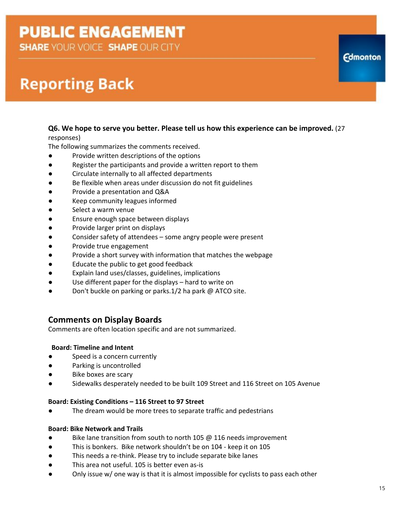**SHARE YOUR VOICE SHAPE OUR CITY** 

### **Reporting Back**

#### **Q6. We hope to serve you better. Please tell us how this experience can be improved.** (27 responses)

The following summarizes the comments received.

- Provide written descriptions of the options
- Register the participants and provide a written report to them
- Circulate internally to all affected departments
- Be flexible when areas under discussion do not fit guidelines
- Provide a presentation and Q&A
- Keep community leagues informed
- Select a warm venue
- Ensure enough space between displays
- Provide larger print on displays
- Consider safety of attendees some angry people were present
- Provide true engagement
- Provide a short survey with information that matches the webpage
- Educate the public to get good feedback
- Explain land uses/classes, guidelines, implications
- Use different paper for the displays hard to write on
- Don't buckle on parking or parks.1/2 ha park @ ATCO site.

### **Comments on Display Boards**

Comments are often location specific and are not summarized.

#### **Board: Timeline and Intent**

- **●** Speed is a concern currently
- **●** Parking is uncontrolled
- **Bike boxes are scary**
- **●** Sidewalks desperately needed to be built 109 Street and 116 Street on 105 Avenue

#### **Board: Existing Conditions – 116 Street to 97 Street**

The dream would be more trees to separate traffic and pedestrians

#### **Board: Bike Network and Trails**

- Bike lane transition from south to north 105 @ 116 needs improvement
- This is bonkers. Bike network shouldn't be on 104 keep it on 105
- This needs a re-think. Please try to include separate bike lanes
- This area not useful. 105 is better even as-is
- Only issue w/ one way is that it is almost impossible for cyclists to pass each other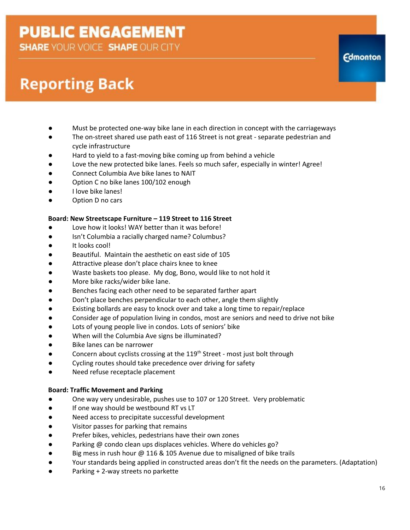**SHARE YOUR VOICE SHAPE OUR CITY** 

## **Reporting Back**

- Must be protected one-way bike lane in each direction in concept with the carriageways
- The on-street shared use path east of 116 Street is not great separate pedestrian and cycle infrastructure
- Hard to yield to a fast-moving bike coming up from behind a vehicle
- Love the new protected bike lanes. Feels so much safer, especially in winter! Agree!
- Connect Columbia Ave bike lanes to NAIT
- Option C no bike lanes 100/102 enough
- I love bike lanes!
- Option D no cars

#### **Board: New Streetscape Furniture – 119 Street to 116 Street**

- Love how it looks! WAY better than it was before!
- Isn't Columbia a racially charged name? Columbus?
- It looks cool!
- Beautiful. Maintain the aesthetic on east side of 105
- Attractive please don't place chairs knee to knee
- Waste baskets too please. My dog, Bono, would like to not hold it
- More bike racks/wider bike lane.
- Benches facing each other need to be separated farther apart
- Don't place benches perpendicular to each other, angle them slightly
- Existing bollards are easy to knock over and take a long time to repair/replace
- Consider age of population living in condos, most are seniors and need to drive not bike
- Lots of young people live in condos. Lots of seniors' bike
- When will the Columbia Ave signs be illuminated?
- Bike lanes can be narrower
- Concern about cyclists crossing at the 119<sup>th</sup> Street most just bolt through
- Cycling routes should take precedence over driving for safety
- Need refuse receptacle placement

### **Board: Traffic Movement and Parking**

- One way very undesirable, pushes use to 107 or 120 Street. Very problematic
- If one way should be westbound RT vs LT
- Need access to precipitate successful development
- Visitor passes for parking that remains
- Prefer bikes, vehicles, pedestrians have their own zones
- Parking @ condo clean ups displaces vehicles. Where do vehicles go?
- Big mess in rush hour @ 116 & 105 Avenue due to misaligned of bike trails
- Your standards being applied in constructed areas don't fit the needs on the parameters. (Adaptation)
- Parking + 2-way streets no parkette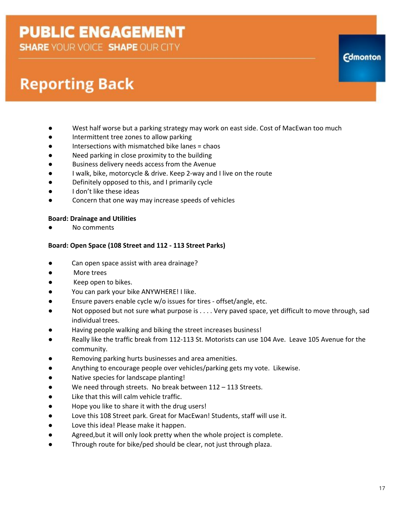**SHARE YOUR VOICE SHAPE OUR CITY** 

## **Reporting Back**

- West half worse but a parking strategy may work on east side. Cost of MacEwan too much
- Intermittent tree zones to allow parking
- Intersections with mismatched bike lanes = chaos
- Need parking in close proximity to the building
- Business delivery needs access from the Avenue
- I walk, bike, motorcycle & drive. Keep 2-way and I live on the route
- Definitely opposed to this, and I primarily cycle
- I don't like these ideas
- Concern that one way may increase speeds of vehicles

### **Board: Drainage and Utilities**

No comments

### **Board: Open Space (108 Street and 112 - 113 Street Parks)**

- Can open space assist with area drainage?
- More trees
- Keep open to bikes.
- You can park your bike ANYWHERE! I like.
- Ensure pavers enable cycle w/o issues for tires offset/angle, etc.
- Not opposed but not sure what purpose is . . . . Very paved space, yet difficult to move through, sad individual trees.
- Having people walking and biking the street increases business!
- Really like the traffic break from 112-113 St. Motorists can use 104 Ave. Leave 105 Avenue for the community.
- Removing parking hurts businesses and area amenities.
- Anything to encourage people over vehicles/parking gets my vote. Likewise.
- Native species for landscape planting!
- We need through streets. No break between 112 113 Streets.
- Like that this will calm vehicle traffic.
- Hope you like to share it with the drug users!
- Love this 108 Street park. Great for MacEwan! Students, staff will use it.
- Love this idea! Please make it happen.
- Agreed,but it will only look pretty when the whole project is complete.
- Through route for bike/ped should be clear, not just through plaza.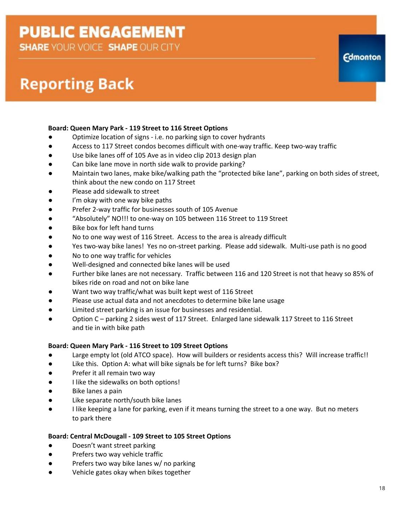**SHARE YOUR VOICE SHAPE OUR CITY** 

### **Reporting Back**

#### **Board: Queen Mary Park - 119 Street to 116 Street Options**

- Optimize location of signs i.e. no parking sign to cover hydrants
- Access to 117 Street condos becomes difficult with one-way traffic. Keep two-way traffic
- Use bike lanes off of 105 Ave as in video clip 2013 design plan
- Can bike lane move in north side walk to provide parking?
- Maintain two lanes, make bike/walking path the "protected bike lane", parking on both sides of street, think about the new condo on 117 Street
- Please add sidewalk to street
- I'm okay with one way bike paths
- Prefer 2-way traffic for businesses south of 105 Avenue
- "Absolutely" NO!!! to one-way on 105 between 116 Street to 119 Street
- Bike box for left hand turns
- No to one way west of 116 Street. Access to the area is already difficult
- Yes two-way bike lanes! Yes no on-street parking. Please add sidewalk. Multi-use path is no good
- No to one way traffic for vehicles
- Well-designed and connected bike lanes will be used
- Further bike lanes are not necessary. Traffic between 116 and 120 Street is not that heavy so 85% of bikes ride on road and not on bike lane
- Want two way traffic/what was built kept west of 116 Street
- Please use actual data and not anecdotes to determine bike lane usage
- Limited street parking is an issue for businesses and residential.
- Option C parking 2 sides west of 117 Street. Enlarged lane sidewalk 117 Street to 116 Street and tie in with bike path

#### **Board: Queen Mary Park - 116 Street to 109 Street Options**

- Large empty lot (old ATCO space). How will builders or residents access this? Will increase traffic!!
- Like this. Option A: what will bike signals be for left turns? Bike box?
- Prefer it all remain two way
- I like the sidewalks on both options!
- Bike lanes a pain
- Like separate north/south bike lanes
- I like keeping a lane for parking, even if it means turning the street to a one way. But no meters to park there

#### **Board: Central McDougall - 109 Street to 105 Street Options**

- Doesn't want street parking
- Prefers two way vehicle traffic
- Prefers two way bike lanes w/ no parking
- Vehicle gates okay when bikes together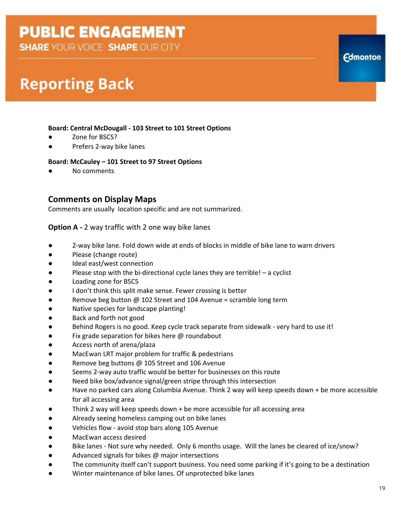**SHARE YOUR VOICE SHAPE OUR CITY** 

### **Reporting Back**

#### **Board: Central McDougall - 103 Street to 101 Street Options**

- Zone for BSCS?
- Prefers 2-way bike lanes

#### **Board: McCauley – 101 Street to 97 Street Options**

No comments

#### **Comments on Display Maps**

Comments are usually location specific and are not summarized.

#### **Option A** - 2 way traffic with 2 one way bike lanes

- 2-way bike lane. Fold down wide at ends of blocks in middle of bike lane to warn drivers
- Please (change route)
- Ideal east/west connection
- Please stop with the bi-directional cycle lanes they are terrible! a cyclist
- Loading zone for BSC5
- I don't think this split make sense. Fewer crossing is better
- Remove beg button @ 102 Street and 104 Avenue = scramble long term
- Native species for landscape planting!
- Back and forth not good
- Behind Rogers is no good. Keep cycle track separate from sidewalk very hard to use it!
- Fix grade separation for bikes here @ roundabout
- Access north of arena/plaza
- MacEwan LRT major problem for traffic & pedestrians
- Remove beg buttons @ 105 Street and 106 Avenue
- Seems 2-way auto traffic would be better for businesses on this route
- Need bike box/advance signal/green stripe through this intersection
- Have no parked cars along Columbia Avenue. Think 2 way will keep speeds down + be more accessible for all accessing area
- Think 2 way will keep speeds down  $+$  be more accessible for all accessing area
- Already seeing homeless camping out on bike lanes
- Vehicles flow avoid stop bars along 105 Avenue
- MacEwan access desired
- Bike lanes Not sure why needed. Only 6 months usage. Will the lanes be cleared of ice/snow?
- Advanced signals for bikes @ major intersections
- The community itself can't support business. You need some parking if it's going to be a destination
- Winter maintenance of bike lanes. Of unprotected bike lanes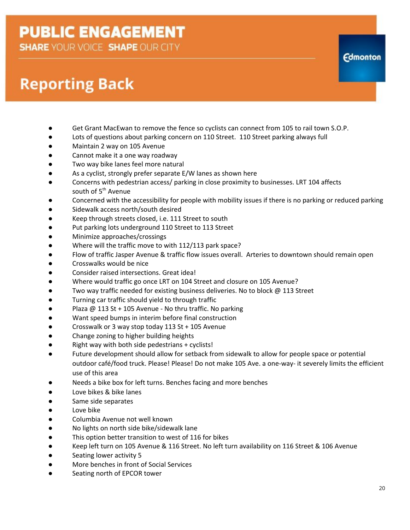**SHARE YOUR VOICE SHAPE OUR CITY** 

## **Reporting Back**

- Get Grant MacEwan to remove the fence so cyclists can connect from 105 to rail town S.O.P.
- Lots of questions about parking concern on 110 Street. 110 Street parking always full
- Maintain 2 way on 105 Avenue
- Cannot make it a one way roadway
- Two way bike lanes feel more natural
- As a cyclist, strongly prefer separate E/W lanes as shown here
- Concerns with pedestrian access/ parking in close proximity to businesses. LRT 104 affects south of 5<sup>th</sup> Avenue
- Concerned with the accessibility for people with mobility issues if there is no parking or reduced parking
- Sidewalk access north/south desired
- Keep through streets closed, i.e. 111 Street to south
- Put parking lots underground 110 Street to 113 Street
- Minimize approaches/crossings
- Where will the traffic move to with 112/113 park space?
- Flow of traffic Jasper Avenue & traffic flow issues overall. Arteries to downtown should remain open
- Crosswalks would be nice
- Consider raised intersections. Great idea!
- Where would traffic go once LRT on 104 Street and closure on 105 Avenue?
- Two way traffic needed for existing business deliveries. No to block @ 113 Street
- Turning car traffic should yield to through traffic
- Plaza @ 113 St + 105 Avenue No thru traffic. No parking
- Want speed bumps in interim before final construction
- Crosswalk or 3 way stop today  $113$  St + 105 Avenue
- Change zoning to higher building heights
- Right way with both side pedestrians + cyclists!
- Future development should allow for setback from sidewalk to allow for people space or potential outdoor café/food truck. Please! Please! Do not make 105 Ave. a one-way- it severely limits the efficient use of this area
- Needs a bike box for left turns. Benches facing and more benches
- Love bikes & bike lanes
- Same side separates
- Love bike
- Columbia Avenue not well known
- No lights on north side bike/sidewalk lane
- This option better transition to west of 116 for bikes
- Keep left turn on 105 Avenue & 116 Street. No left turn availability on 116 Street & 106 Avenue
- Seating lower activity 5
- More benches in front of Social Services
- Seating north of EPCOR tower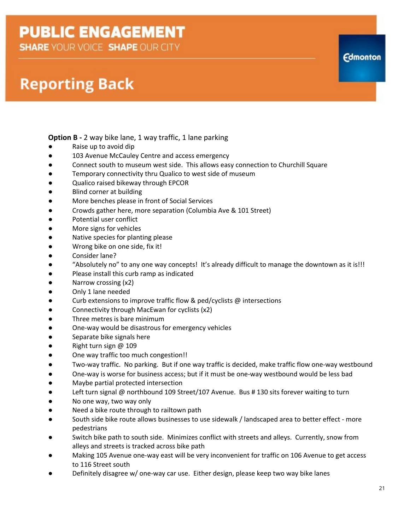**SHARE YOUR VOICE SHAPE OUR CITY** 

### **Reporting Back**

### **Option B** - 2 way bike lane, 1 way traffic, 1 lane parking<br>
• Raise up to avoid dip

- Raise up to avoid dip
- 103 Avenue McCauley Centre and access emergency
- Connect south to museum west side. This allows easy connection to Churchill Square
- Temporary connectivity thru Qualico to west side of museum
- Qualico raised bikeway through EPCOR
- Blind corner at building
- More benches please in front of Social Services
- Crowds gather here, more separation (Columbia Ave & 101 Street)
- Potential user conflict
- More signs for vehicles
- Native species for planting please
- Wrong bike on one side, fix it!
- Consider lane?
- "Absolutely no" to any one way concepts! It's already difficult to manage the downtown as it is!!!
- Please install this curb ramp as indicated
- Narrow crossing (x2)
- Only 1 lane needed
- Curb extensions to improve traffic flow & ped/cyclists @ intersections
- Connectivity through MacEwan for cyclists (x2)
- Three metres is bare minimum
- One-way would be disastrous for emergency vehicles
- Separate bike signals here
- Right turn sign @ 109
- One way traffic too much congestion!!
- Two-way traffic. No parking. But if one way traffic is decided, make traffic flow one-way westbound
- One-way is worse for business access; but if it must be one-way westbound would be less bad
- Maybe partial protected intersection
- Left turn signal @ northbound 109 Street/107 Avenue. Bus # 130 sits forever waiting to turn
- No one way, two way only
- Need a bike route through to railtown path
- South side bike route allows businesses to use sidewalk / landscaped area to better effect more pedestrians
- Switch bike path to south side. Minimizes conflict with streets and alleys. Currently, snow from alleys and streets is tracked across bike path
- Making 105 Avenue one-way east will be very inconvenient for traffic on 106 Avenue to get access to 116 Street south
- Definitely disagree w/ one-way car use. Either design, please keep two way bike lanes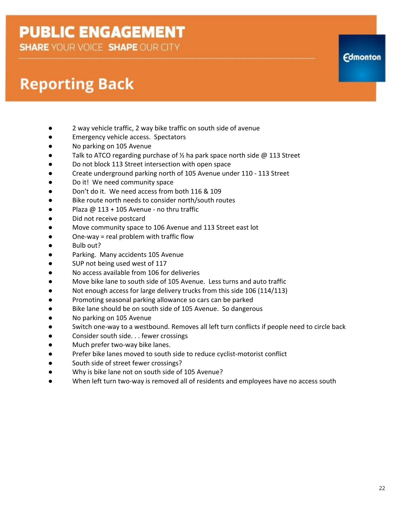**SHARE YOUR VOICE SHAPE OUR CITY** 

### **Reporting Back**

- 2 way vehicle traffic, 2 way bike traffic on south side of avenue
- Emergency vehicle access. Spectators
- No parking on 105 Avenue
- Talk to ATCO regarding purchase of  $\frac{1}{2}$  ha park space north side @ 113 Street
- Do not block 113 Street intersection with open space
- Create underground parking north of 105 Avenue under 110 113 Street
- Do it! We need community space
- Don't do it. We need access from both 116 & 109
- Bike route north needs to consider north/south routes
- Plaza @ 113 + 105 Avenue no thru traffic
- Did not receive postcard
- Move community space to 106 Avenue and 113 Street east lot
- One-way = real problem with traffic flow
- Bulb out?
- Parking. Many accidents 105 Avenue
- SUP not being used west of 117
- No access available from 106 for deliveries
- Move bike lane to south side of 105 Avenue. Less turns and auto traffic
- Not enough access for large delivery trucks from this side 106 (114/113)
- Promoting seasonal parking allowance so cars can be parked
- Bike lane should be on south side of 105 Avenue. So dangerous
- No parking on 105 Avenue
- Switch one-way to a westbound. Removes all left turn conflicts if people need to circle back
- Consider south side. . . fewer crossings
- Much prefer two-way bike lanes.
- Prefer bike lanes moved to south side to reduce cyclist-motorist conflict
- South side of street fewer crossings?
- Why is bike lane not on south side of 105 Avenue?
- When left turn two-way is removed all of residents and employees have no access south